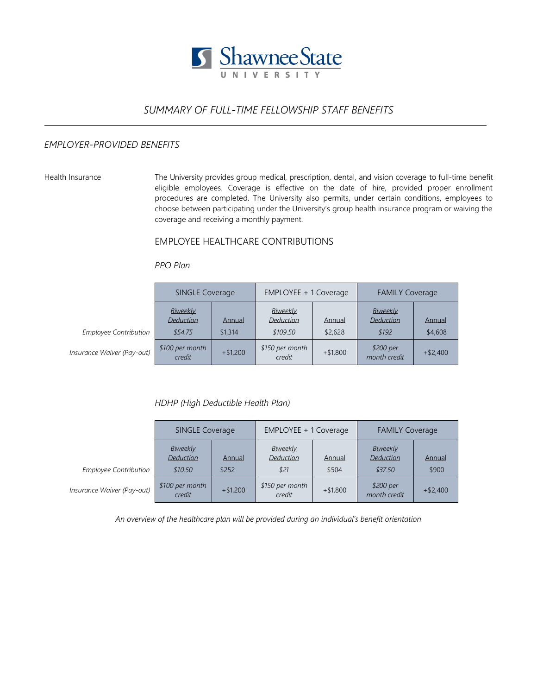

# *SUMMARY OF FULL-TIME FELLOWSHIP STAFF BENEFITS*

### *EMPLOYER-PROVIDED BENEFITS*

Health Insurance The University provides group medical, prescription, dental, and vision coverage to full-time benefit eligible employees. Coverage is effective on the date of hire, provided proper enrollment procedures are completed. The University also permits, under certain conditions, employees to choose between participating under the University's group health insurance program or waiving the coverage and receiving a monthly payment.

## EMPLOYEE HEALTHCARE CONTRIBUTIONS

#### *PPO Plan*

|                              | <b>SINGLE Coverage</b>                  |                   | EMPLOYEE + 1 Coverage                    |                   | <b>FAMILY Coverage</b>         |                   |
|------------------------------|-----------------------------------------|-------------------|------------------------------------------|-------------------|--------------------------------|-------------------|
| <b>Employee Contribution</b> | Biweekly<br><b>Deduction</b><br>\$54.75 | Annual<br>\$1,314 | Biweekly<br><b>Deduction</b><br>\$109.50 | Annual<br>\$2,628 | Biweekly<br>Deduction<br>\$192 | Annual<br>\$4,608 |
| Insurance Waiver (Pay-out)   | \$100 per month<br>credit               | $+ $1,200$        | \$150 per month<br>credit                | $+ $1,800$        | \$200 per<br>month credit      | $+ $2,400$        |

*HDHP (High Deductible Health Plan)*

|                              | <b>SINGLE Coverage</b>                  |                 | EMPLOYEE + 1 Coverage                |                 | <b>FAMILY Coverage</b>           |                 |
|------------------------------|-----------------------------------------|-----------------|--------------------------------------|-----------------|----------------------------------|-----------------|
| <b>Employee Contribution</b> | Biweekly<br><b>Deduction</b><br>\$10.50 | Annual<br>\$252 | Biweekly<br><b>Deduction</b><br>\$21 | Annual<br>\$504 | Biweekly<br>Deduction<br>\$37.50 | Annual<br>\$900 |
| Insurance Waiver (Pay-out)   | \$100 per month<br>credit               | $+ $1,200$      | \$150 per month<br>credit            | $+ $1,800$      | \$200 per<br>month credit        | $+ $2,400$      |

*An overview of the healthcare plan will be provided during an individual's benefit orientation*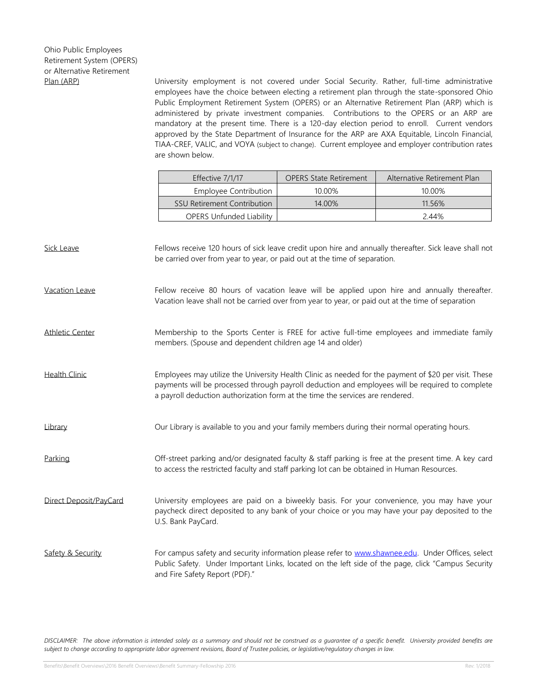Plan (ARP) University employment is not covered under Social Security. Rather, full-time administrative employees have the choice between electing a retirement plan through the state-sponsored Ohio Public Employment Retirement System (OPERS) or an Alternative Retirement Plan (ARP) which is administered by private investment companies. Contributions to the OPERS or an ARP are mandatory at the present time. There is a 120-day election period to enroll. Current vendors approved by the State Department of Insurance for the ARP are AXA Equitable, Lincoln Financial, TIAA-CREF, VALIC, and VOYA (subject to change). Current employee and employer contribution rates are shown below.

| Effective 7/1/17                   | <b>OPERS State Retirement</b> | Alternative Retirement Plan |  |  |
|------------------------------------|-------------------------------|-----------------------------|--|--|
| Employee Contribution              | 10.00%                        | 10.00%                      |  |  |
| <b>SSU Retirement Contribution</b> | 14.00%                        | 11.56%                      |  |  |
| <b>OPERS Unfunded Liability</b>    |                               | 244%                        |  |  |

| <b>Sick Leave</b>      | Fellows receive 120 hours of sick leave credit upon hire and annually thereafter. Sick leave shall not<br>be carried over from year to year, or paid out at the time of separation.                                                                                                       |
|------------------------|-------------------------------------------------------------------------------------------------------------------------------------------------------------------------------------------------------------------------------------------------------------------------------------------|
| Vacation Leave         | Fellow receive 80 hours of vacation leave will be applied upon hire and annually thereafter.<br>Vacation leave shall not be carried over from year to year, or paid out at the time of separation                                                                                         |
| <b>Athletic Center</b> | Membership to the Sports Center is FREE for active full-time employees and immediate family<br>members. (Spouse and dependent children age 14 and older)                                                                                                                                  |
| <b>Health Clinic</b>   | Employees may utilize the University Health Clinic as needed for the payment of \$20 per visit. These<br>payments will be processed through payroll deduction and employees will be required to complete<br>a payroll deduction authorization form at the time the services are rendered. |
| Library                | Our Library is available to you and your family members during their normal operating hours.                                                                                                                                                                                              |
| Parking                | Off-street parking and/or designated faculty & staff parking is free at the present time. A key card<br>to access the restricted faculty and staff parking lot can be obtained in Human Resources.                                                                                        |
| Direct Deposit/PayCard | University employees are paid on a biweekly basis. For your convenience, you may have your<br>paycheck direct deposited to any bank of your choice or you may have your pay deposited to the<br>U.S. Bank PayCard.                                                                        |
| Safety & Security      | For campus safety and security information please refer to www.shawnee.edu. Under Offices, select<br>Public Safety. Under Important Links, located on the left side of the page, click "Campus Security<br>and Fire Safety Report (PDF)."                                                 |

*DISCLAIMER: The above information is intended solely as a summary and should not be construed as a guarantee of a specific benefit. University provided benefits are subject to change according to appropriate labor agreement revisions, Board of Trustee policies, or legislative/regulatory changes in law.*